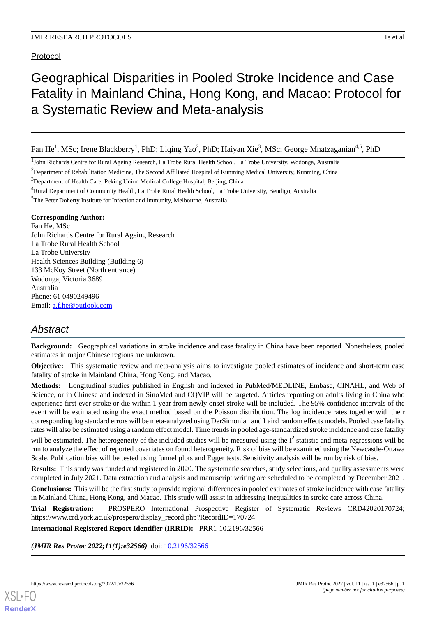Protocol

# Geographical Disparities in Pooled Stroke Incidence and Case Fatality in Mainland China, Hong Kong, and Macao: Protocol for a Systematic Review and Meta-analysis

Fan He<sup>1</sup>, MSc; Irene Blackberry<sup>1</sup>, PhD; Liqing Yao<sup>2</sup>, PhD; Haiyan Xie<sup>3</sup>, MSc; George Mnatzaganian<sup>4,5</sup>, PhD

<sup>1</sup>John Richards Centre for Rural Ageing Research, La Trobe Rural Health School, La Trobe University, Wodonga, Australia

 $2D$ epartment of Rehabilitation Medicine, The Second Affiliated Hospital of Kunming Medical University, Kunming, China

<sup>3</sup>Department of Health Care, Peking Union Medical College Hospital, Beijing, China

<sup>4</sup>Rural Department of Community Health, La Trobe Rural Health School, La Trobe University, Bendigo, Australia

<sup>5</sup>The Peter Doherty Institute for Infection and Immunity, Melbourne, Australia

## **Corresponding Author:**

Fan He, MSc John Richards Centre for Rural Ageing Research La Trobe Rural Health School La Trobe University Health Sciences Building (Building 6) 133 McKoy Street (North entrance) Wodonga, Victoria 3689 Australia Phone: 61 0490249496 Email: [a.f.he@outlook.com](mailto:a.f.he@outlook.com)

# *Abstract*

**Background:** Geographical variations in stroke incidence and case fatality in China have been reported. Nonetheless, pooled estimates in major Chinese regions are unknown.

**Objective:** This systematic review and meta-analysis aims to investigate pooled estimates of incidence and short-term case fatality of stroke in Mainland China, Hong Kong, and Macao.

**Methods:** Longitudinal studies published in English and indexed in PubMed/MEDLINE, Embase, CINAHL, and Web of Science, or in Chinese and indexed in SinoMed and CQVIP will be targeted. Articles reporting on adults living in China who experience first-ever stroke or die within 1 year from newly onset stroke will be included. The 95% confidence intervals of the event will be estimated using the exact method based on the Poisson distribution. The log incidence rates together with their corresponding log standard errors will be meta-analyzed using DerSimonian and Laird random effects models. Pooled case fatality rates will also be estimated using a random effect model. Time trends in pooled age-standardized stroke incidence and case fatality will be estimated. The heterogeneity of the included studies will be measured using the  $I^2$  statistic and meta-regressions will be run to analyze the effect of reported covariates on found heterogeneity. Risk of bias will be examined using the Newcastle-Ottawa Scale. Publication bias will be tested using funnel plots and Egger tests. Sensitivity analysis will be run by risk of bias.

**Results:** This study was funded and registered in 2020. The systematic searches, study selections, and quality assessments were completed in July 2021. Data extraction and analysis and manuscript writing are scheduled to be completed by December 2021.

**Conclusions:** This will be the first study to provide regional differences in pooled estimates of stroke incidence with case fatality in Mainland China, Hong Kong, and Macao. This study will assist in addressing inequalities in stroke care across China.

**Trial Registration:** PROSPERO International Prospective Register of Systematic Reviews CRD42020170724; https://www.crd.york.ac.uk/prospero/display\_record.php?RecordID=170724

**International Registered Report Identifier (IRRID):** PRR1-10.2196/32566

*(JMIR Res Protoc 2022;11(1):e32566)* doi: [10.2196/32566](http://dx.doi.org/10.2196/32566)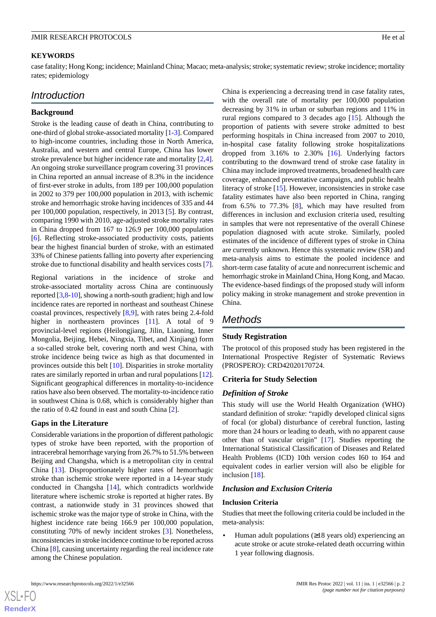#### **KEYWORDS**

case fatality; Hong Kong; incidence; Mainland China; Macao; meta-analysis; stroke; systematic review; stroke incidence; mortality rates; epidemiology

# *Introduction*

#### **Background**

Stroke is the leading cause of death in China, contributing to one-third of global stroke-associated mortality [\[1](#page-4-0)-[3\]](#page-4-1). Compared to high-income countries, including those in North America, Australia, and western and central Europe, China has lower stroke prevalence but higher incidence rate and mortality [\[2](#page-4-2),[4\]](#page-4-3). An ongoing stroke surveillance program covering 31 provinces in China reported an annual increase of 8.3% in the incidence of first-ever stroke in adults, from 189 per 100,000 population in 2002 to 379 per 100,000 population in 2013, with ischemic stroke and hemorrhagic stroke having incidences of 335 and 44 per 100,000 population, respectively, in 2013 [[5\]](#page-4-4). By contrast, comparing 1990 with 2010, age-adjusted stroke mortality rates in China dropped from 167 to 126.9 per 100,000 population [[6\]](#page-4-5). Reflecting stroke-associated productivity costs, patients bear the highest financial burden of stroke, with an estimated 33% of Chinese patients falling into poverty after experiencing stroke due to functional disability and health services costs [[7\]](#page-4-6).

Regional variations in the incidence of stroke and stroke-associated mortality across China are continuously reported [[3](#page-4-1)[,8](#page-4-7)-[10](#page-4-8)], showing a north-south gradient; high and low incidence rates are reported in northeast and southeast Chinese coastal provinces, respectively [\[8](#page-4-7),[9\]](#page-4-9), with rates being 2.4-fold higher in northeastern provinces [\[11](#page-4-10)]. A total of 9 provincial-level regions (Heilongjiang, Jilin, Liaoning, Inner Mongolia, Beijing, Hebei, Ningxia, Tibet, and Xinjiang) form a so-called stroke belt, covering north and west China, with stroke incidence being twice as high as that documented in provinces outside this belt [\[10](#page-4-8)]. Disparities in stroke mortality rates are similarly reported in urban and rural populations [[12\]](#page-4-11). Significant geographical differences in mortality-to-incidence ratios have also been observed. The mortality-to-incidence ratio in southwest China is 0.68, which is considerably higher than the ratio of 0.42 found in east and south China [[2\]](#page-4-2).

### **Gaps in the Literature**

Considerable variations in the proportion of different pathologic types of stroke have been reported, with the proportion of intracerebral hemorrhage varying from 26.7% to 51.5% between Beijing and Changsha, which is a metropolitan city in central China [\[13](#page-4-12)]. Disproportionately higher rates of hemorrhagic stroke than ischemic stroke were reported in a 14-year study conducted in Changsha [[14\]](#page-4-13), which contradicts worldwide literature where ischemic stroke is reported at higher rates. By contrast, a nationwide study in 31 provinces showed that ischemic stroke was the major type of stroke in China, with the highest incidence rate being 166.9 per 100,000 population, constituting 70% of newly incident strokes [[3\]](#page-4-1). Nonetheless, inconsistencies in stroke incidence continue to be reported across China [[8\]](#page-4-7), causing uncertainty regarding the real incidence rate among the Chinese population.

China is experiencing a decreasing trend in case fatality rates, with the overall rate of mortality per 100,000 population decreasing by 31% in urban or suburban regions and 11% in rural regions compared to 3 decades ago [[15\]](#page-4-14). Although the proportion of patients with severe stroke admitted to best performing hospitals in China increased from 2007 to 2010, in-hospital case fatality following stroke hospitalizations dropped from  $3.16\%$  to  $2.30\%$  [\[16](#page-4-15)]. Underlying factors contributing to the downward trend of stroke case fatality in China may include improved treatments, broadened health care coverage, enhanced preventative campaigns, and public health literacy of stroke [[15\]](#page-4-14). However, inconsistencies in stroke case fatality estimates have also been reported in China, ranging from 6.5% to 77.3% [[8\]](#page-4-7), which may have resulted from differences in inclusion and exclusion criteria used, resulting in samples that were not representative of the overall Chinese population diagnosed with acute stroke. Similarly, pooled estimates of the incidence of different types of stroke in China are currently unknown. Hence this systematic review (SR) and meta-analysis aims to estimate the pooled incidence and short-term case fatality of acute and nonrecurrent ischemic and hemorrhagic stroke in Mainland China, Hong Kong, and Macao. The evidence-based findings of the proposed study will inform policy making in stroke management and stroke prevention in China.

# *Methods*

### **Study Registration**

The protocol of this proposed study has been registered in the International Prospective Register of Systematic Reviews (PROSPERO): CRD42020170724.

#### **Criteria for Study Selection**

#### *Definition of Stroke*

This study will use the World Health Organization (WHO) standard definition of stroke: "rapidly developed clinical signs of focal (or global) disturbance of cerebral function, lasting more than 24 hours or leading to death, with no apparent cause other than of vascular origin" [\[17](#page-4-16)]. Studies reporting the International Statistical Classification of Diseases and Related Health Problems (ICD) 10th version codes I60 to I64 and equivalent codes in earlier version will also be eligible for inclusion [\[18](#page-5-0)].

#### *Inclusion and Exclusion Criteria*

#### **Inclusion Criteria**

Studies that meet the following criteria could be included in the meta-analysis:

Human adult populations  $(\geq 18$  years old) experiencing an acute stroke or acute stroke-related death occurring within 1 year following diagnosis.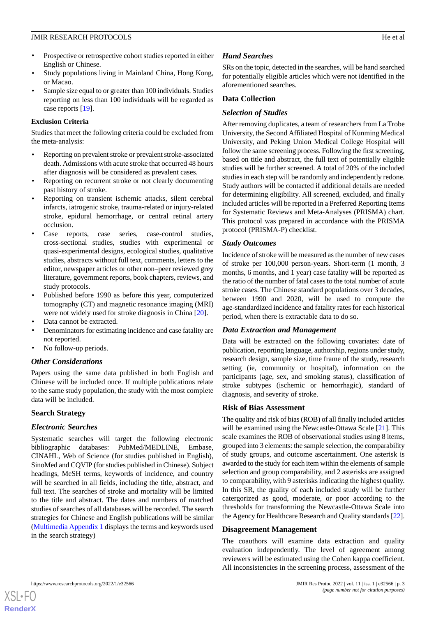- Prospective or retrospective cohort studies reported in either English or Chinese.
- Study populations living in Mainland China, Hong Kong, or Macao.
- Sample size equal to or greater than 100 individuals. Studies reporting on less than 100 individuals will be regarded as case reports [[19\]](#page-5-1).

## **Exclusion Criteria**

Studies that meet the following criteria could be excluded from the meta-analysis:

- Reporting on prevalent stroke or prevalent stroke-associated death. Admissions with acute stroke that occurred 48 hours after diagnosis will be considered as prevalent cases.
- Reporting on recurrent stroke or not clearly documenting past history of stroke.
- Reporting on transient ischemic attacks, silent cerebral infarcts, iatrogenic stroke, trauma-related or injury-related stroke, epidural hemorrhage, or central retinal artery occlusion.
- Case reports, case series, case-control studies, cross-sectional studies, studies with experimental or quasi-experimental designs, ecological studies, qualitative studies, abstracts without full text, comments, letters to the editor, newspaper articles or other non–peer reviewed grey literature, government reports, book chapters, reviews, and study protocols.
- Published before 1990 as before this year, computerized tomography (CT) and magnetic resonance imaging (MRI) were not widely used for stroke diagnosis in China [[20\]](#page-5-2).
- Data cannot be extracted.
- Denominators for estimating incidence and case fatality are not reported.
- No follow-up periods.

## *Other Considerations*

Papers using the same data published in both English and Chinese will be included once. If multiple publications relate to the same study population, the study with the most complete data will be included.

## **Search Strategy**

## *Electronic Searches*

Systematic searches will target the following electronic bibliographic databases: PubMed/MEDLINE, Embase, CINAHL, Web of Science (for studies published in English), SinoMed and CQVIP (for studies published in Chinese). Subject headings, MeSH terms, keywords of incidence, and country will be searched in all fields, including the title, abstract, and full text. The searches of stroke and mortality will be limited to the title and abstract. The dates and numbers of matched studies of searches of all databases will be recorded. The search strategies for Chinese and English publications will be similar ([Multimedia Appendix 1](#page-4-17) displays the terms and keywords used in the search strategy)

# *Hand Searches*

SRs on the topic, detected in the searches, will be hand searched for potentially eligible articles which were not identified in the aforementioned searches.

## **Data Collection**

## *Selection of Studies*

After removing duplicates, a team of researchers from La Trobe University, the Second Affiliated Hospital of Kunming Medical University, and Peking Union Medical College Hospital will follow the same screening process. Following the first screening, based on title and abstract, the full text of potentially eligible studies will be further screened. A total of 20% of the included studies in each step will be randomly and independently redone. Study authors will be contacted if additional details are needed for determining eligibility. All screened, excluded, and finally included articles will be reported in a Preferred Reporting Items for Systematic Reviews and Meta-Analyses (PRISMA) chart. This protocol was prepared in accordance with the PRISMA protocol (PRISMA-P) checklist.

## *Study Outcomes*

Incidence of stroke will be measured as the number of new cases of stroke per 100,000 person-years. Short-term (1 month, 3 months, 6 months, and 1 year) case fatality will be reported as the ratio of the number of fatal cases to the total number of acute stroke cases. The Chinese standard populations over 3 decades, between 1990 and 2020, will be used to compute the age-standardized incidence and fatality rates for each historical period, when there is extractable data to do so.

## *Data Extraction and Management*

Data will be extracted on the following covariates: date of publication, reporting language, authorship, regions under study, research design, sample size, time frame of the study, research setting (ie, community or hospital), information on the participants (age, sex, and smoking status), classification of stroke subtypes (ischemic or hemorrhagic), standard of diagnosis, and severity of stroke.

### **Risk of Bias Assessment**

The quality and risk of bias (ROB) of all finally included articles will be examined using the Newcastle-Ottawa Scale [[21\]](#page-5-3). This scale examines the ROB of observational studies using 8 items, grouped into 3 elements: the sample selection, the comparability of study groups, and outcome ascertainment. One asterisk is awarded to the study for each item within the elements of sample selection and group comparability, and 2 asterisks are assigned to comparability, with 9 asterisks indicating the highest quality. In this SR, the quality of each included study will be further catergorized as good, moderate, or poor according to the thresholds for transforming the Newcastle-Ottawa Scale into the Agency for Healthcare Research and Quality standards [\[22](#page-5-4)].

### **Disagreement Management**

The coauthors will examine data extraction and quality evaluation independently. The level of agreement among reviewers will be estimated using the Cohen kappa coefficient. All inconsistencies in the screening process, assessment of the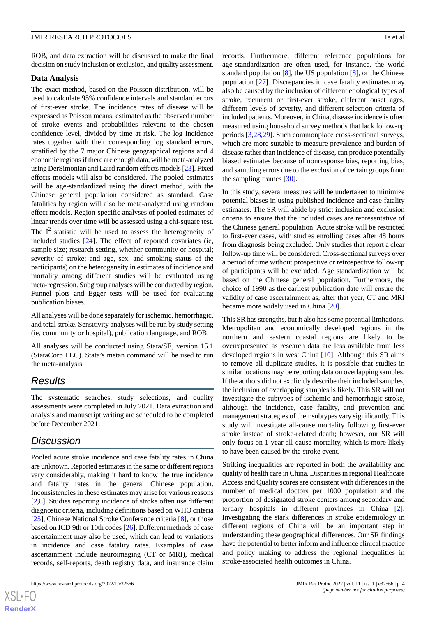ROB, and data extraction will be discussed to make the final decision on study inclusion or exclusion, and quality assessment.

#### **Data Analysis**

The exact method, based on the Poisson distribution, will be used to calculate 95% confidence intervals and standard errors of first-ever stroke. The incidence rates of disease will be expressed as Poisson means, estimated as the observed number of stroke events and probabilities relevant to the chosen confidence level, divided by time at risk. The log incidence rates together with their corresponding log standard errors, stratified by the 7 major Chinese geographical regions and 4 economic regions if there are enough data, will be meta-analyzed using DerSimonian and Laird random effects models [\[23\]](#page-5-5). Fixed effects models will also be considered. The pooled estimates will be age-standardized using the direct method, with the Chinese general population considered as standard. Case fatalities by region will also be meta-analyzed using random effect models. Region-specific analyses of pooled estimates of linear trends over time will be assessed using a chi-square test.

The  $I^2$  statistic will be used to assess the heterogeneity of included studies [[24\]](#page-5-6). The effect of reported covariates (ie, sample size; research setting, whether community or hospital; severity of stroke; and age, sex, and smoking status of the participants) on the heterogeneity in estimates of incidence and mortality among different studies will be evaluated using meta-regression. Subgroup analyses will be conducted by region. Funnel plots and Egger tests will be used for evaluating publication biases.

All analyses will be done separately for ischemic, hemorrhagic, and total stroke. Sensitivity analyses will be run by study setting (ie, community or hospital), publication language, and ROB.

All analyses will be conducted using Stata/SE, version 15.1 (StataCorp LLC). Stata's metan command will be used to run the meta-analysis.

# *Results*

The systematic searches, study selections, and quality assessments were completed in July 2021. Data extraction and analysis and manuscript writing are scheduled to be completed before December 2021.

# *Discussion*

Pooled acute stroke incidence and case fatality rates in China are unknown. Reported estimates in the same or different regions vary considerably, making it hard to know the true incidence and fatality rates in the general Chinese population. Inconsistencies in these estimates may arise for various reasons [[2](#page-4-2)[,8](#page-4-7)]. Studies reporting incidence of stroke often use different diagnostic criteria, including definitions based on WHO criteria [[25\]](#page-5-7), Chinese National Stroke Conference criteria [[8\]](#page-4-7), or those based on ICD 9th or 10th codes [[26\]](#page-5-8). Different methods of case ascertainment may also be used, which can lead to variations in incidence and case fatality rates. Examples of case ascertainment include neuroimaging (CT or MRI), medical records, self-reports, death registry data, and insurance claim

records. Furthermore, different reference populations for age-standardization are often used, for instance, the world standard population [[8\]](#page-4-7), the US population [\[8](#page-4-7)], or the Chinese population [\[27](#page-5-9)]. Discrepancies in case fatality estimates may also be caused by the inclusion of different etiological types of stroke, recurrent or first-ever stroke, different onset ages, different levels of severity, and different selection criteria of included patients. Moreover, in China, disease incidence is often measured using household survey methods that lack follow-up periods [[3](#page-4-1)[,28](#page-5-10),[29\]](#page-5-11). Such commonplace cross-sectional surveys, which are more suitable to measure prevalence and burden of disease rather than incidence of disease, can produce potentially biased estimates because of nonresponse bias, reporting bias, and sampling errors due to the exclusion of certain groups from the sampling frames [[30\]](#page-5-12).

In this study, several measures will be undertaken to minimize potential biases in using published incidence and case fatality estimates. The SR will abide by strict inclusion and exclusion criteria to ensure that the included cases are representative of the Chinese general population. Acute stroke will be restricted to first-ever cases, with studies enrolling cases after 48 hours from diagnosis being excluded. Only studies that report a clear follow-up time will be considered. Cross-sectional surveys over a period of time without prospective or retrospective follow-up of participants will be excluded. Age standardization will be based on the Chinese general population. Furthermore, the choice of 1990 as the earliest publication date will ensure the validity of case ascertainment as, after that year, CT and MRI became more widely used in China [\[20](#page-5-2)].

This SR has strengths, but it also has some potential limitations. Metropolitan and economically developed regions in the northern and eastern coastal regions are likely to be overrepresented as research data are less available from less developed regions in west China [[10\]](#page-4-8). Although this SR aims to remove all duplicate studies, it is possible that studies in similar locations may be reporting data on overlapping samples. If the authors did not explicitly describe their included samples, the inclusion of overlapping samples is likely. This SR will not investigate the subtypes of ischemic and hemorrhagic stroke, although the incidence, case fatality, and prevention and management strategies of their subtypes vary significantly. This study will investigate all-cause mortality following first-ever stroke instead of stroke-related death; however, our SR will only focus on 1-year all-cause mortality, which is more likely to have been caused by the stroke event.

Striking inequalities are reported in both the availability and quality of health care in China. Disparities in regional Healthcare Access and Quality scores are consistent with differences in the number of medical doctors per 1000 population and the proportion of designated stroke centers among secondary and tertiary hospitals in different provinces in China [[2\]](#page-4-2). Investigating the stark differences in stroke epidemiology in different regions of China will be an important step in understanding these geographical differences. Our SR findings have the potential to better inform and influence clinical practice and policy making to address the regional inequalities in stroke-associated health outcomes in China.

 $XS$  • FO **[RenderX](http://www.renderx.com/)**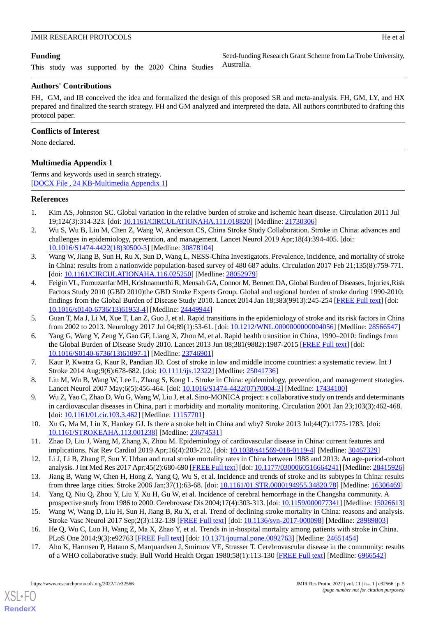Seed-funding Research Grant Scheme from La Trobe University,

## **Funding**

This study was supported by the 2020 China Studies

## **Authors' Contributions**

FH, GM, and IB conceived the idea and formalized the design of this proposed SR and meta-analysis. FH, GM, LY, and HX prepared and finalized the search strategy. FH and GM analyzed and interpreted the data. All authors contributed to drafting this protocol paper.

Australia.

## **Conflicts of Interest**

<span id="page-4-17"></span>None declared.

## **Multimedia Appendix 1**

Terms and keywords used in search strategy. [[DOCX File , 24 KB](https://jmir.org/api/download?alt_name=resprot_v11i1e32566_app1.docx&filename=7ea48741d7e96a095dad196406bb93a6.docx)-[Multimedia Appendix 1\]](https://jmir.org/api/download?alt_name=resprot_v11i1e32566_app1.docx&filename=7ea48741d7e96a095dad196406bb93a6.docx)

## <span id="page-4-0"></span>**References**

- <span id="page-4-2"></span>1. Kim AS, Johnston SC. Global variation in the relative burden of stroke and ischemic heart disease. Circulation 2011 Jul 19;124(3):314-323. [doi: [10.1161/CIRCULATIONAHA.111.018820\]](http://dx.doi.org/10.1161/CIRCULATIONAHA.111.018820) [Medline: [21730306\]](http://www.ncbi.nlm.nih.gov/entrez/query.fcgi?cmd=Retrieve&db=PubMed&list_uids=21730306&dopt=Abstract)
- <span id="page-4-1"></span>2. Wu S, Wu B, Liu M, Chen Z, Wang W, Anderson CS, China Stroke Study Collaboration. Stroke in China: advances and challenges in epidemiology, prevention, and management. Lancet Neurol 2019 Apr;18(4):394-405. [doi: [10.1016/S1474-4422\(18\)30500-3\]](http://dx.doi.org/10.1016/S1474-4422(18)30500-3) [Medline: [30878104](http://www.ncbi.nlm.nih.gov/entrez/query.fcgi?cmd=Retrieve&db=PubMed&list_uids=30878104&dopt=Abstract)]
- <span id="page-4-3"></span>3. Wang W, Jiang B, Sun H, Ru X, Sun D, Wang L, NESS-China Investigators. Prevalence, incidence, and mortality of stroke in China: results from a nationwide population-based survey of 480 687 adults. Circulation 2017 Feb 21;135(8):759-771. [doi: [10.1161/CIRCULATIONAHA.116.025250](http://dx.doi.org/10.1161/CIRCULATIONAHA.116.025250)] [Medline: [28052979\]](http://www.ncbi.nlm.nih.gov/entrez/query.fcgi?cmd=Retrieve&db=PubMed&list_uids=28052979&dopt=Abstract)
- <span id="page-4-4"></span>4. Feigin VL, Forouzanfar MH, Krishnamurthi R, Mensah GA, Connor M, Bennett DA, Global Burden of Diseases, Injuries, Risk Factors Study 2010 (GBD 2010)the GBD Stroke Experts Group. Global and regional burden of stroke during 1990-2010: findings from the Global Burden of Disease Study 2010. Lancet 2014 Jan 18;383(9913):245-254 [[FREE Full text](http://europepmc.org/abstract/MED/24449944)] [doi: [10.1016/s0140-6736\(13\)61953-4](http://dx.doi.org/10.1016/s0140-6736(13)61953-4)] [Medline: [24449944\]](http://www.ncbi.nlm.nih.gov/entrez/query.fcgi?cmd=Retrieve&db=PubMed&list_uids=24449944&dopt=Abstract)
- <span id="page-4-6"></span><span id="page-4-5"></span>5. Guan T, Ma J, Li M, Xue T, Lan Z, Guo J, et al. Rapid transitions in the epidemiology of stroke and its risk factors in China from 2002 to 2013. Neurology 2017 Jul 04;89(1):53-61. [doi: [10.1212/WNL.0000000000004056\]](http://dx.doi.org/10.1212/WNL.0000000000004056) [Medline: [28566547](http://www.ncbi.nlm.nih.gov/entrez/query.fcgi?cmd=Retrieve&db=PubMed&list_uids=28566547&dopt=Abstract)]
- <span id="page-4-7"></span>6. Yang G, Wang Y, Zeng Y, Gao GF, Liang X, Zhou M, et al. Rapid health transition in China, 1990–2010: findings from the Global Burden of Disease Study 2010. Lancet 2013 Jun 08;381(9882):1987-2015 [\[FREE Full text\]](http://europepmc.org/abstract/MED/23746901) [doi: [10.1016/S0140-6736\(13\)61097-1\]](http://dx.doi.org/10.1016/S0140-6736(13)61097-1) [Medline: [23746901](http://www.ncbi.nlm.nih.gov/entrez/query.fcgi?cmd=Retrieve&db=PubMed&list_uids=23746901&dopt=Abstract)]
- <span id="page-4-9"></span>7. Kaur P, Kwatra G, Kaur R, Pandian JD. Cost of stroke in low and middle income countries: a systematic review. Int J Stroke 2014 Aug;9(6):678-682. [doi: [10.1111/ijs.12322\]](http://dx.doi.org/10.1111/ijs.12322) [Medline: [25041736\]](http://www.ncbi.nlm.nih.gov/entrez/query.fcgi?cmd=Retrieve&db=PubMed&list_uids=25041736&dopt=Abstract)
- <span id="page-4-8"></span>8. Liu M, Wu B, Wang W, Lee L, Zhang S, Kong L. Stroke in China: epidemiology, prevention, and management strategies. Lancet Neurol 2007 May;6(5):456-464. [doi: [10.1016/S1474-4422\(07\)70004-2](http://dx.doi.org/10.1016/S1474-4422(07)70004-2)] [Medline: [17434100](http://www.ncbi.nlm.nih.gov/entrez/query.fcgi?cmd=Retrieve&db=PubMed&list_uids=17434100&dopt=Abstract)]
- <span id="page-4-10"></span>9. Wu Z, Yao C, Zhao D, Wu G, Wang W, Liu J, et al. Sino-MONICA project: a collaborative study on trends and determinants in cardiovascular diseases in China, part i: morbidity and mortality monitoring. Circulation 2001 Jan 23;103(3):462-468. [doi: [10.1161/01.cir.103.3.462](http://dx.doi.org/10.1161/01.cir.103.3.462)] [Medline: [11157701\]](http://www.ncbi.nlm.nih.gov/entrez/query.fcgi?cmd=Retrieve&db=PubMed&list_uids=11157701&dopt=Abstract)
- <span id="page-4-12"></span><span id="page-4-11"></span>10. Xu G, Ma M, Liu X, Hankey GJ. Is there a stroke belt in China and why? Stroke 2013 Jul;44(7):1775-1783. [doi: [10.1161/STROKEAHA.113.001238\]](http://dx.doi.org/10.1161/STROKEAHA.113.001238) [Medline: [23674531\]](http://www.ncbi.nlm.nih.gov/entrez/query.fcgi?cmd=Retrieve&db=PubMed&list_uids=23674531&dopt=Abstract)
- <span id="page-4-13"></span>11. Zhao D, Liu J, Wang M, Zhang X, Zhou M. Epidemiology of cardiovascular disease in China: current features and implications. Nat Rev Cardiol 2019 Apr;16(4):203-212. [doi: [10.1038/s41569-018-0119-4\]](http://dx.doi.org/10.1038/s41569-018-0119-4) [Medline: [30467329\]](http://www.ncbi.nlm.nih.gov/entrez/query.fcgi?cmd=Retrieve&db=PubMed&list_uids=30467329&dopt=Abstract)
- <span id="page-4-14"></span>12. Li J, Li B, Zhang F, Sun Y. Urban and rural stroke mortality rates in China between 1988 and 2013: An age-period-cohort analysis. J Int Med Res 2017 Apr;45(2):680-690 [\[FREE Full text\]](https://journals.sagepub.com/doi/10.1177/0300060516664241?url_ver=Z39.88-2003&rfr_id=ori:rid:crossref.org&rfr_dat=cr_pub%3dpubmed) [doi: [10.1177/0300060516664241\]](http://dx.doi.org/10.1177/0300060516664241) [Medline: [28415926](http://www.ncbi.nlm.nih.gov/entrez/query.fcgi?cmd=Retrieve&db=PubMed&list_uids=28415926&dopt=Abstract)]
- <span id="page-4-15"></span>13. Jiang B, Wang W, Chen H, Hong Z, Yang Q, Wu S, et al. Incidence and trends of stroke and its subtypes in China: results from three large cities. Stroke 2006 Jan;37(1):63-68. [doi: [10.1161/01.STR.0000194955.34820.78](http://dx.doi.org/10.1161/01.STR.0000194955.34820.78)] [Medline: [16306469](http://www.ncbi.nlm.nih.gov/entrez/query.fcgi?cmd=Retrieve&db=PubMed&list_uids=16306469&dopt=Abstract)]
- <span id="page-4-16"></span>14. Yang Q, Niu Q, Zhou Y, Liu Y, Xu H, Gu W, et al. Incidence of cerebral hemorrhage in the Changsha community. A prospective study from 1986 to 2000. Cerebrovasc Dis 2004;17(4):303-313. [doi: [10.1159/000077341\]](http://dx.doi.org/10.1159/000077341) [Medline: [15026613\]](http://www.ncbi.nlm.nih.gov/entrez/query.fcgi?cmd=Retrieve&db=PubMed&list_uids=15026613&dopt=Abstract)
- 15. Wang W, Wang D, Liu H, Sun H, Jiang B, Ru X, et al. Trend of declining stroke mortality in China: reasons and analysis. Stroke Vasc Neurol 2017 Sep;2(3):132-139 [[FREE Full text\]](https://svn.bmj.com/lookup/pmidlookup?view=long&pmid=28989803) [doi: [10.1136/svn-2017-000098](http://dx.doi.org/10.1136/svn-2017-000098)] [Medline: [28989803\]](http://www.ncbi.nlm.nih.gov/entrez/query.fcgi?cmd=Retrieve&db=PubMed&list_uids=28989803&dopt=Abstract)
- 16. He Q, Wu C, Luo H, Wang Z, Ma X, Zhao Y, et al. Trends in in-hospital mortality among patients with stroke in China. PLoS One 2014;9(3):e92763 [[FREE Full text](https://dx.plos.org/10.1371/journal.pone.0092763)] [doi: [10.1371/journal.pone.0092763\]](http://dx.doi.org/10.1371/journal.pone.0092763) [Medline: [24651454](http://www.ncbi.nlm.nih.gov/entrez/query.fcgi?cmd=Retrieve&db=PubMed&list_uids=24651454&dopt=Abstract)]
- 17. Aho K, Harmsen P, Hatano S, Marquardsen J, Smirnov VE, Strasser T. Cerebrovascular disease in the community: results of a WHO collaborative study. Bull World Health Organ 1980;58(1):113-130 [[FREE Full text](http://europepmc.org/abstract/MED/6966542)] [Medline: [6966542\]](http://www.ncbi.nlm.nih.gov/entrez/query.fcgi?cmd=Retrieve&db=PubMed&list_uids=6966542&dopt=Abstract)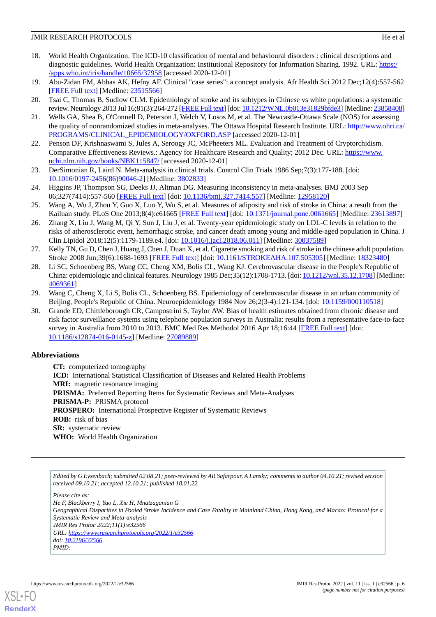- <span id="page-5-0"></span>18. World Health Organization. The ICD-10 classification of mental and behavioural disorders : clinical descriptions and diagnostic guidelines. World Health Organization: Institutional Repository for Information Sharing. 1992. URL: [https:/](https://apps.who.int/iris/handle/10665/37958) [/apps.who.int/iris/handle/10665/37958](https://apps.who.int/iris/handle/10665/37958) [accessed 2020-12-01]
- <span id="page-5-2"></span><span id="page-5-1"></span>19. Abu-Zidan FM, Abbas AK, Hefny AF. Clinical "case series": a concept analysis. Afr Health Sci 2012 Dec;12(4):557-562 [[FREE Full text](http://europepmc.org/abstract/MED/23515566)] [Medline: [23515566](http://www.ncbi.nlm.nih.gov/entrez/query.fcgi?cmd=Retrieve&db=PubMed&list_uids=23515566&dopt=Abstract)]
- <span id="page-5-3"></span>20. Tsai C, Thomas B, Sudlow CLM. Epidemiology of stroke and its subtypes in Chinese vs white populations: a systematic review. Neurology 2013 Jul 16;81(3):264-272 [[FREE Full text\]](http://europepmc.org/abstract/MED/23858408) [doi: [10.1212/WNL.0b013e31829bfde3](http://dx.doi.org/10.1212/WNL.0b013e31829bfde3)] [Medline: [23858408\]](http://www.ncbi.nlm.nih.gov/entrez/query.fcgi?cmd=Retrieve&db=PubMed&list_uids=23858408&dopt=Abstract)
- <span id="page-5-4"></span>21. Wells GA, Shea B, O'Connell D, Peterson J, Welch V, Losos M, et al. The Newcastle-Ottawa Scale (NOS) for assessing the quality of nonrandomized studies in meta-analyses. The Ottawa Hospital Research Institute. URL: [http://www.ohri.ca/](http://www.ohri.ca/PROGRAMS/CLINICAL_EPIDEMIOLOGY/OXFORD.ASP) [PROGRAMS/CLINICAL\\_EPIDEMIOLOGY/OXFORD.ASP](http://www.ohri.ca/PROGRAMS/CLINICAL_EPIDEMIOLOGY/OXFORD.ASP) [accessed 2020-12-01]
- <span id="page-5-5"></span>22. Penson DF, Krishnaswami S, Jules A, Seroogy JC, McPheeters ML. Evaluation and Treatment of Cryptorchidism. Comparative Effectiveness Reviews.: Agency for Healthcare Research and Quality; 2012 Dec. URL: [https://www.](https://www.ncbi.nlm.nih.gov/books/NBK115847/) [ncbi.nlm.nih.gov/books/NBK115847/](https://www.ncbi.nlm.nih.gov/books/NBK115847/) [accessed 2020-12-01]
- <span id="page-5-6"></span>23. DerSimonian R, Laird N. Meta-analysis in clinical trials. Control Clin Trials 1986 Sep;7(3):177-188. [doi: [10.1016/0197-2456\(86\)90046-2](http://dx.doi.org/10.1016/0197-2456(86)90046-2)] [Medline: [3802833\]](http://www.ncbi.nlm.nih.gov/entrez/query.fcgi?cmd=Retrieve&db=PubMed&list_uids=3802833&dopt=Abstract)
- <span id="page-5-7"></span>24. Higgins JP, Thompson SG, Deeks JJ, Altman DG. Measuring inconsistency in meta-analyses. BMJ 2003 Sep 06;327(7414):557-560 [[FREE Full text](http://europepmc.org/abstract/MED/12958120)] [doi: [10.1136/bmj.327.7414.557\]](http://dx.doi.org/10.1136/bmj.327.7414.557) [Medline: [12958120\]](http://www.ncbi.nlm.nih.gov/entrez/query.fcgi?cmd=Retrieve&db=PubMed&list_uids=12958120&dopt=Abstract)
- <span id="page-5-8"></span>25. Wang A, Wu J, Zhou Y, Guo X, Luo Y, Wu S, et al. Measures of adiposity and risk of stroke in China: a result from the Kailuan study. PLoS One 2013;8(4):e61665 [\[FREE Full text](https://dx.plos.org/10.1371/journal.pone.0061665)] [doi: [10.1371/journal.pone.0061665\]](http://dx.doi.org/10.1371/journal.pone.0061665) [Medline: [23613897](http://www.ncbi.nlm.nih.gov/entrez/query.fcgi?cmd=Retrieve&db=PubMed&list_uids=23613897&dopt=Abstract)]
- <span id="page-5-9"></span>26. Zhang X, Liu J, Wang M, Qi Y, Sun J, Liu J, et al. Twenty-year epidemiologic study on LDL-C levels in relation to the risks of atherosclerotic event, hemorrhagic stroke, and cancer death among young and middle-aged population in China. J Clin Lipidol 2018;12(5):1179-1189.e4. [doi: [10.1016/j.jacl.2018.06.011\]](http://dx.doi.org/10.1016/j.jacl.2018.06.011) [Medline: [30037589](http://www.ncbi.nlm.nih.gov/entrez/query.fcgi?cmd=Retrieve&db=PubMed&list_uids=30037589&dopt=Abstract)]
- <span id="page-5-10"></span>27. Kelly TN, Gu D, Chen J, Huang J, Chen J, Duan X, et al. Cigarette smoking and risk of stroke in the chinese adult population. Stroke 2008 Jun;39(6):1688-1693 [[FREE Full text](http://europepmc.org/abstract/MED/18323480)] [doi: [10.1161/STROKEAHA.107.505305\]](http://dx.doi.org/10.1161/STROKEAHA.107.505305) [Medline: [18323480\]](http://www.ncbi.nlm.nih.gov/entrez/query.fcgi?cmd=Retrieve&db=PubMed&list_uids=18323480&dopt=Abstract)
- <span id="page-5-12"></span><span id="page-5-11"></span>28. Li SC, Schoenberg BS, Wang CC, Cheng XM, Bolis CL, Wang KJ. Cerebrovascular disease in the People's Republic of China: epidemiologic and clinical features. Neurology 1985 Dec;35(12):1708-1713. [doi: [10.1212/wnl.35.12.1708](http://dx.doi.org/10.1212/wnl.35.12.1708)] [Medline: [4069361\]](http://www.ncbi.nlm.nih.gov/entrez/query.fcgi?cmd=Retrieve&db=PubMed&list_uids=4069361&dopt=Abstract)
- 29. Wang C, Cheng X, Li S, Bolis CL, Schoenberg BS. Epidemiology of cerebrovascular disease in an urban community of Beijing, People's Republic of China. Neuroepidemiology 1984 Nov 26;2(3-4):121-134. [doi: [10.1159/000110518\]](http://dx.doi.org/10.1159/000110518)
- 30. Grande ED, Chittleborough CR, Campostrini S, Taylor AW. Bias of health estimates obtained from chronic disease and risk factor surveillance systems using telephone population surveys in Australia: results from a representative face-to-face survey in Australia from 2010 to 2013. BMC Med Res Methodol 2016 Apr 18;16:44 [[FREE Full text](https://bmcmedresmethodol.biomedcentral.com/articles/10.1186/s12874-016-0145-z)] [doi: [10.1186/s12874-016-0145-z](http://dx.doi.org/10.1186/s12874-016-0145-z)] [Medline: [27089889\]](http://www.ncbi.nlm.nih.gov/entrez/query.fcgi?cmd=Retrieve&db=PubMed&list_uids=27089889&dopt=Abstract)

# **Abbreviations**

**CT:** computerized tomography **ICD:** International Statistical Classification of Diseases and Related Health Problems **MRI:** magnetic resonance imaging PRISMA: Preferred Reporting Items for Systematic Reviews and Meta-Analyses **PRISMA-P:** PRISMA protocol **PROSPERO:** International Prospective Register of Systematic Reviews **ROB:** risk of bias **SR:** systematic review **WHO:** World Health Organization

*Edited by G Eysenbach; submitted 02.08.21; peer-reviewed by AR Safarpour, A Lansky; comments to author 04.10.21; revised version received 09.10.21; accepted 12.10.21; published 18.01.22*

*Please cite as:*

*He F, Blackberry I, Yao L, Xie H, Mnatzaganian G Geographical Disparities in Pooled Stroke Incidence and Case Fatality in Mainland China, Hong Kong, and Macao: Protocol for a Systematic Review and Meta-analysis JMIR Res Protoc 2022;11(1):e32566*

*URL: <https://www.researchprotocols.org/2022/1/e32566>*

*doi: [10.2196/32566](http://dx.doi.org/10.2196/32566) PMID:*



**[RenderX](http://www.renderx.com/)**